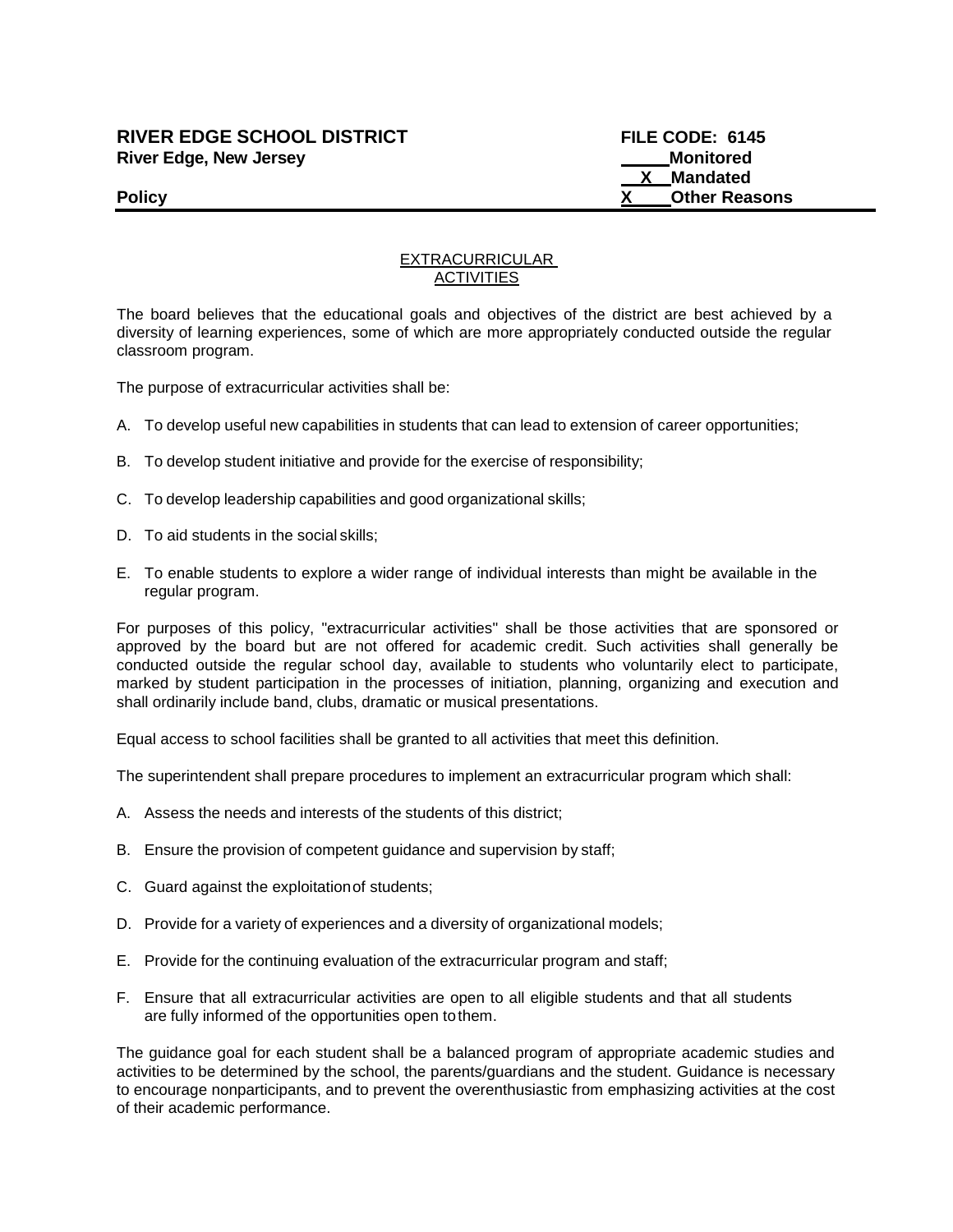# **RIVER EDGE SCHOOL DISTRICT FILE CODE: 6145 River Edge, New Jersey Monitored Monitored Monitored**

 **X Mandated Policy X Other Reasons**

### EXTRACURRICULAR **ACTIVITIES**

The board believes that the educational goals and objectives of the district are best achieved by a diversity of learning experiences, some of which are more appropriately conducted outside the regular classroom program.

The purpose of extracurricular activities shall be:

- A. To develop useful new capabilities in students that can lead to extension of career opportunities;
- B. To develop student initiative and provide for the exercise of responsibility;
- C. To develop leadership capabilities and good organizational skills;
- D. To aid students in the social skills;
- E. To enable students to explore a wider range of individual interests than might be available in the regular program.

For purposes of this policy, "extracurricular activities" shall be those activities that are sponsored or approved by the board but are not offered for academic credit. Such activities shall generally be conducted outside the regular school day, available to students who voluntarily elect to participate, marked by student participation in the processes of initiation, planning, organizing and execution and shall ordinarily include band, clubs, dramatic or musical presentations.

Equal access to school facilities shall be granted to all activities that meet this definition.

The superintendent shall prepare procedures to implement an extracurricular program which shall:

- A. Assess the needs and interests of the students of this district;
- B. Ensure the provision of competent guidance and supervision by staff;
- C. Guard against the exploitationof students;
- D. Provide for a variety of experiences and a diversity of organizational models;
- E. Provide for the continuing evaluation of the extracurricular program and staff;
- F. Ensure that all extracurricular activities are open to all eligible students and that all students are fully informed of the opportunities open tothem.

The guidance goal for each student shall be a balanced program of appropriate academic studies and activities to be determined by the school, the parents/guardians and the student. Guidance is necessary to encourage nonparticipants, and to prevent the overenthusiastic from emphasizing activities at the cost of their academic performance.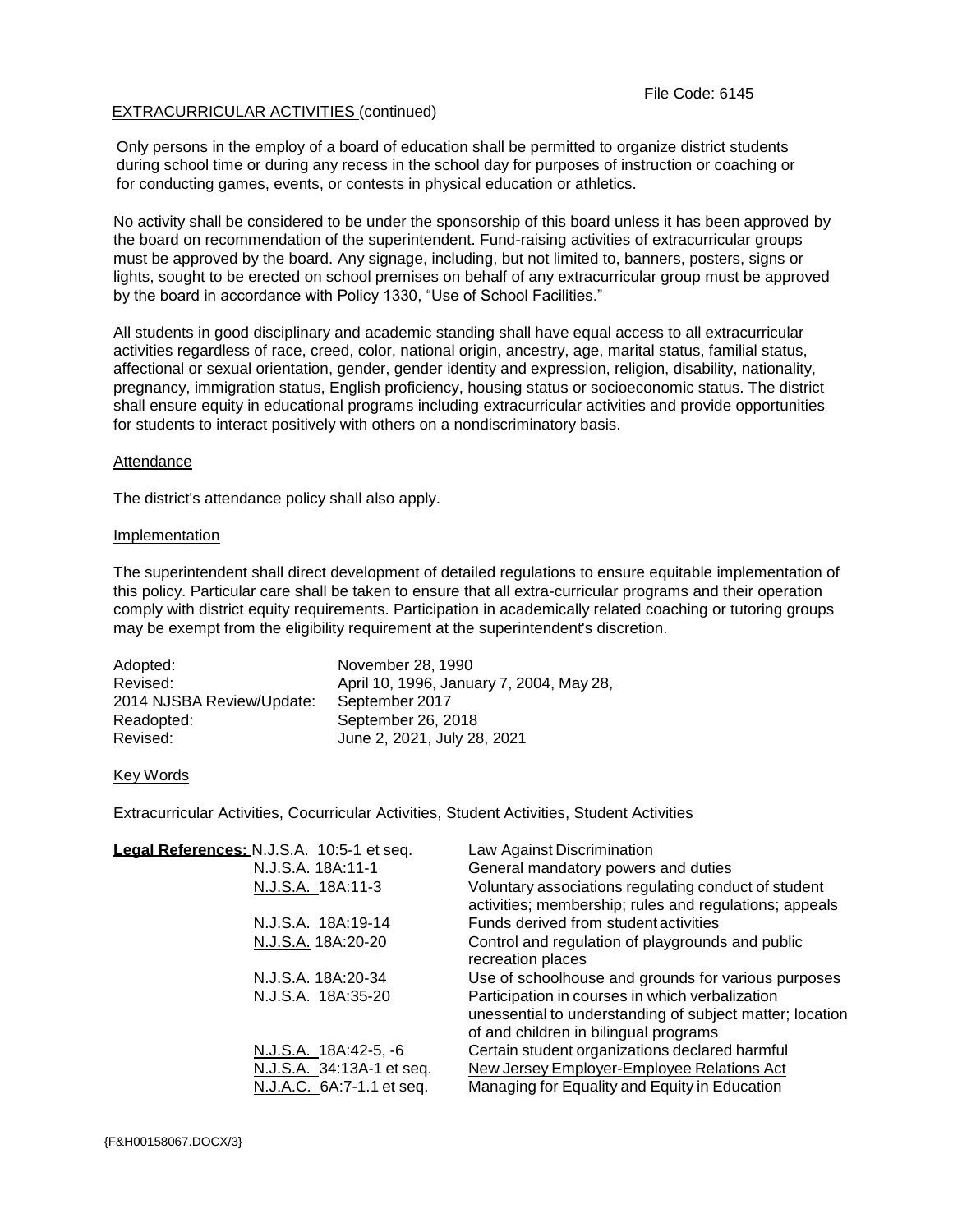## EXTRACURRICULAR ACTIVITIES (continued)

Only persons in the employ of a board of education shall be permitted to organize district students during school time or during any recess in the school day for purposes of instruction or coaching or for conducting games, events, or contests in physical education or athletics.

No activity shall be considered to be under the sponsorship of this board unless it has been approved by the board on recommendation of the superintendent. Fund-raising activities of extracurricular groups must be approved by the board. Any signage, including, but not limited to, banners, posters, signs or lights, sought to be erected on school premises on behalf of any extracurricular group must be approved by the board in accordance with Policy 1330, "Use of School Facilities."

All students in good disciplinary and academic standing shall have equal access to all extracurricular activities regardless of race, creed, color, national origin, ancestry, age, marital status, familial status, affectional or sexual orientation, gender, gender identity and expression, religion, disability, nationality, pregnancy, immigration status, English proficiency, housing status or socioeconomic status. The district shall ensure equity in educational programs including extracurricular activities and provide opportunities for students to interact positively with others on a nondiscriminatory basis.

### **Attendance**

The district's attendance policy shall also apply.

### Implementation

The superintendent shall direct development of detailed regulations to ensure equitable implementation of this policy. Particular care shall be taken to ensure that all extra-curricular programs and their operation comply with district equity requirements. Participation in academically related coaching or tutoring groups may be exempt from the eligibility requirement at the superintendent's discretion.

| Adopted:                  | November 28, 1990                        |
|---------------------------|------------------------------------------|
| Revised:                  | April 10, 1996, January 7, 2004, May 28, |
| 2014 NJSBA Review/Update: | September 2017                           |
| Readopted:                | September 26, 2018                       |
| Revised:                  | June 2, 2021, July 28, 2021              |

#### Key Words

Extracurricular Activities, Cocurricular Activities, Student Activities, Student Activities

| Legal References: N.J.S.A. 10:5-1 et seq. | Law Against Discrimination                                                                                                                           |
|-------------------------------------------|------------------------------------------------------------------------------------------------------------------------------------------------------|
| N.J.S.A. 18A:11-1                         | General mandatory powers and duties                                                                                                                  |
| N.J.S.A. 18A:11-3                         | Voluntary associations regulating conduct of student<br>activities; membership; rules and regulations; appeals                                       |
| N.J.S.A. 18A:19-14                        | Funds derived from student activities                                                                                                                |
| N.J.S.A. 18A:20-20                        | Control and regulation of playgrounds and public<br>recreation places                                                                                |
| N.J.S.A. 18A:20-34                        | Use of schoolhouse and grounds for various purposes                                                                                                  |
| N.J.S.A. 18A:35-20                        | Participation in courses in which verbalization<br>unessential to understanding of subject matter; location<br>of and children in bilingual programs |
| N.J.S.A. 18A:42-5, -6                     | Certain student organizations declared harmful                                                                                                       |
| N.J.S.A. 34:13A-1 et seq.                 | New Jersey Employer-Employee Relations Act                                                                                                           |
| N.J.A.C. 6A:7-1.1 et seq.                 | Managing for Equality and Equity in Education                                                                                                        |